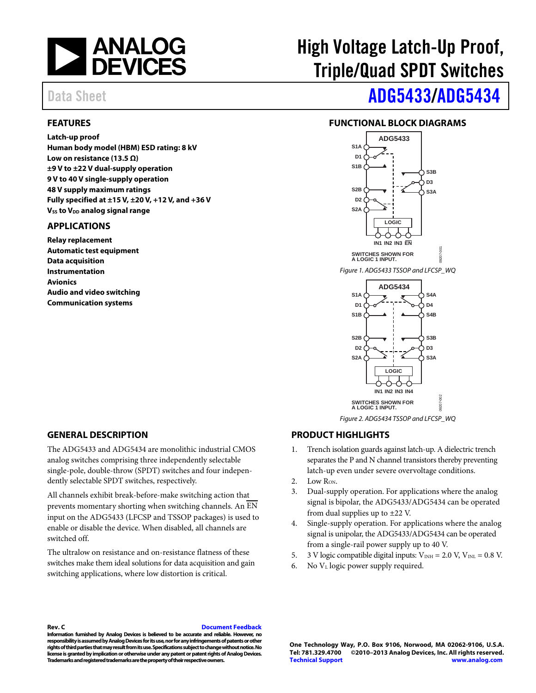

### <span id="page-0-0"></span>**FEATURES**

**Latch-up proof Human body model (HBM) ESD rating: 8 kV Low on resistance (13.5 Ω) ±9 V to ±22 V dual-supply operation 9V to 40 V single-supply operation 48 V supply maximum ratings Fully specified at ±15 V, ±20 V, +12 V, and +36 V Vss to V<sub>DD</sub> analog signal range** 

### <span id="page-0-1"></span>**APPLICATIONS**

**Relay replacement Automatic test equipment Data acquisition Instrumentation Avionics Audio and video switching Communication systems**

# High Voltage Latch-Up Proof, Triple/Quad SPDT Switches

# Data Sheet **[ADG5433/](http://www.analog.com/ADG5433)[ADG5434](http://www.analog.com/ADG5434)**

# <span id="page-0-2"></span>**FUNCTIONAL BLOCK DIAGRAMS**



*Figure 2. ADG5434 TSSOP and LFCSP\_WQ*

### <span id="page-0-3"></span>**GENERAL DESCRIPTION**

The ADG5433 and ADG5434 are monolithic industrial CMOS analog switches comprising three independently selectable single-pole, double-throw (SPDT) switches and four independently selectable SPDT switches, respectively.

All channels exhibit break-before-make switching action that prevents momentary shorting when switching channels. An EN input on the ADG5433 (LFCSP and TSSOP packages) is used to enable or disable the device. When disabled, all channels are switched off.

The ultralow on resistance and on-resistance flatness of these switches make them ideal solutions for data acquisition and gain switching applications, where low distortion is critical.

# <span id="page-0-4"></span>**PRODUCT HIGHLIGHTS**

- 1. Trench isolation guards against latch-up. A dielectric trench separates the P and N channel transistors thereby preventing latch-up even under severe overvoltage conditions.
- 2. Low  $R_{ON}$ .
- 3. Dual-supply operation. For applications where the analog signal is bipolar, the ADG5433/ADG5434 can be operated from dual supplies up to  $\pm 22$  V.
- 4. Single-supply operation. For applications where the analog signal is unipolar, the ADG5433/ADG5434 can be operated from a single-rail power supply up to 40 V.
- 5. 3 V logic compatible digital inputs:  $V_{INH} = 2.0$  V,  $V_{INL} = 0.8$  V.
- 6. No  $V<sub>L</sub>$  logic power supply required.

#### **Rev. C [Document Feedback](https://form.analog.com/Form_Pages/feedback/documentfeedback.aspx?doc=ADG5433_5434.pdf&product=ADG5433%20ADG5434&rev=C)**

**Information furnished by Analog Devices is believed to be accurate and reliable. However, no responsibility is assumed by Analog Devices for its use, nor for any infringements of patents or other rights of third parties that may result from its use. Specifications subject to change without notice. No license is granted by implication or otherwise under any patent or patent rights of Analog Devices. Trademarks and registered trademarks are the property of their respective owners.**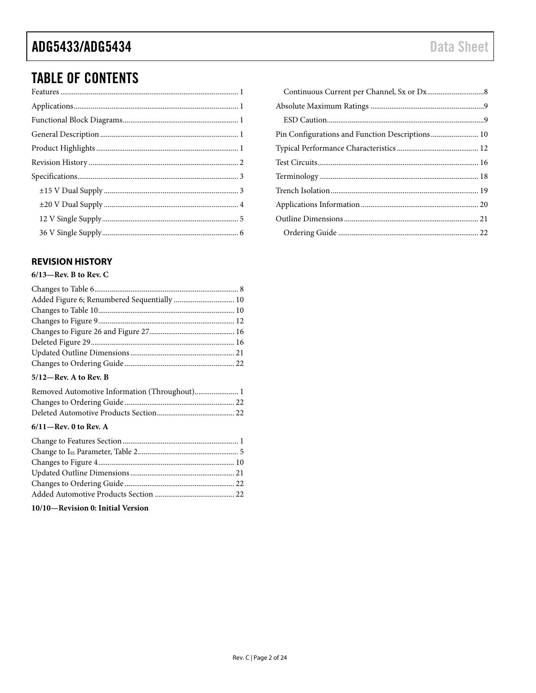# **TABLE OF CONTENTS**

# <span id="page-1-0"></span>**REVISION HISTORY**

### $6/13$ -Rev. B to Rev. C

| $5/12$ —Rev. A to Rev. B |  |
|--------------------------|--|

| Removed Automotive Information (Throughout) 1 |  |
|-----------------------------------------------|--|
|                                               |  |
|                                               |  |

## $6/11$ -Rev. 0 to Rev. A

10/10-Revision 0: Initial Version

| Pin Configurations and Function Descriptions 10 |  |
|-------------------------------------------------|--|
|                                                 |  |
|                                                 |  |
|                                                 |  |
|                                                 |  |
|                                                 |  |
|                                                 |  |
|                                                 |  |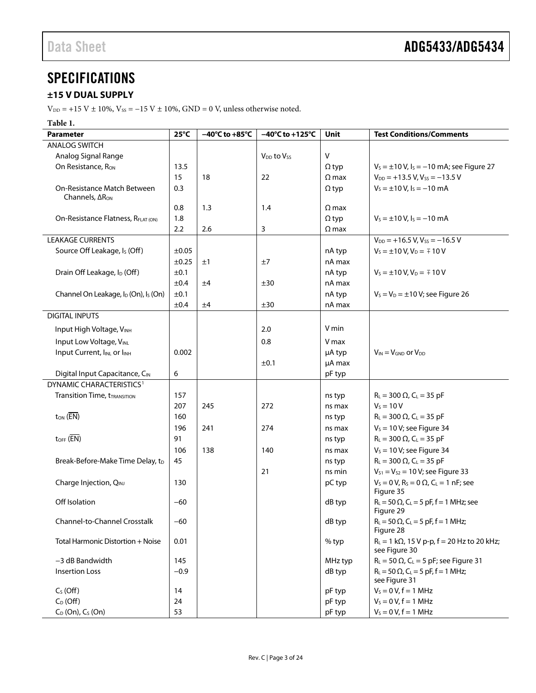# <span id="page-2-0"></span>**SPECIFICATIONS**

# <span id="page-2-1"></span>**±15 V DUAL SUPPLY**

 $V_{\text{DD}}$  = +15 V ± 10%,  $V_{\text{SS}}$  = -15 V ± 10%, GND = 0 V, unless otherwise noted.

# **Table 1.**

| <b>Parameter</b>                                             | $25^{\circ}$ C | $-40^{\circ}$ C to $+85^{\circ}$ C | $-40^{\circ}$ C to +125 $^{\circ}$ C | Unit         | <b>Test Conditions/Comments</b>                                        |
|--------------------------------------------------------------|----------------|------------------------------------|--------------------------------------|--------------|------------------------------------------------------------------------|
| <b>ANALOG SWITCH</b>                                         |                |                                    |                                      |              |                                                                        |
| Analog Signal Range                                          |                |                                    | $V_{DD}$ to $V_{SS}$                 | $\vee$       |                                                                        |
| On Resistance, Ron                                           | 13.5           |                                    |                                      | $\Omega$ typ | $V_s = \pm 10$ V, $I_s = -10$ mA; see Figure 27                        |
|                                                              | 15             | 18                                 | 22                                   | $\Omega$ max | $V_{DD}$ = +13.5 V, Vss = -13.5 V                                      |
| On-Resistance Match Between<br>Channels, ∆R <sub>ON</sub>    | 0.3            |                                    |                                      | $\Omega$ typ | $V_s = \pm 10$ V, $I_s = -10$ mA                                       |
|                                                              | 0.8            | 1.3                                | 1.4                                  | $\Omega$ max |                                                                        |
| On-Resistance Flatness, RFLAT (ON)                           | 1.8            |                                    |                                      | $\Omega$ typ | $V_s = \pm 10 V$ , $I_s = -10$ mA                                      |
|                                                              | 2.2            | 2.6                                | 3                                    | $\Omega$ max |                                                                        |
| <b>LEAKAGE CURRENTS</b>                                      |                |                                    |                                      |              | $V_{DD}$ = +16.5 V, Vss = -16.5 V                                      |
| Source Off Leakage, I <sub>s</sub> (Off)                     | $\pm 0.05$     |                                    |                                      | nA typ       | $V_S = \pm 10 V, V_D = \mp 10 V$                                       |
|                                                              | ±0.25          | ±1                                 | ±7                                   | nA max       |                                                                        |
| Drain Off Leakage, I <sub>D</sub> (Off)                      | ±0.1           |                                    |                                      | nA typ       | $V_s = \pm 10 V, V_D = \mp 10 V$                                       |
|                                                              | ±0.4           | ±4                                 | ±30                                  | nA max       |                                                                        |
| Channel On Leakage, I <sub>D</sub> (On), I <sub>S</sub> (On) | ±0.1           |                                    |                                      | nA typ       | $V_s = V_D = \pm 10 V$ ; see Figure 26                                 |
|                                                              | ±0.4           | ±4                                 | ±30                                  | nA max       |                                                                        |
| <b>DIGITAL INPUTS</b>                                        |                |                                    |                                      |              |                                                                        |
| Input High Voltage, VINH                                     |                |                                    | 2.0                                  | V min        |                                                                        |
| Input Low Voltage, VINL                                      |                |                                    | 0.8                                  | V max        |                                                                        |
| Input Current, IINL or IINH                                  | 0.002          |                                    |                                      | µA typ       | $V_{IN} = V_{GND}$ or $V_{DD}$                                         |
|                                                              |                |                                    | ±0.1                                 | µA max       |                                                                        |
| Digital Input Capacitance, CIN                               | 6              |                                    |                                      | pF typ       |                                                                        |
| DYNAMIC CHARACTERISTICS <sup>1</sup>                         |                |                                    |                                      |              |                                                                        |
| <b>Transition Time, tTRANSITION</b>                          | 157            |                                    |                                      | ns typ       | $R_L = 300 \Omega$ , $C_L = 35 pF$                                     |
|                                                              | 207            | 245                                | 272                                  | ns max       | $V_s = 10 V$                                                           |
| $t_{ON}$ ( $\overline{EN}$ )                                 | 160            |                                    |                                      | ns typ       | $R_L = 300 \Omega$ , $C_L = 35 pF$                                     |
|                                                              | 196            | 241                                | 274                                  | ns max       | $V_s = 10 V$ ; see Figure 34                                           |
| $t_{\text{OFF}}$ ( $\overline{\text{EN}}$ )                  | 91             |                                    |                                      | ns typ       | $R_L = 300 \Omega$ , $C_L = 35 pF$                                     |
|                                                              | 106            | 138                                | 140                                  | ns max       | $V_s = 10 V$ ; see Figure 34                                           |
| Break-Before-Make Time Delay, t <sub>D</sub>                 | 45             |                                    |                                      | ns typ       | $R_L = 300 \Omega$ , $C_L = 35 pF$                                     |
|                                                              |                |                                    | 21                                   | ns min       | $V_{S1} = V_{S2} = 10 V$ ; see Figure 33                               |
| Charge Injection, QINJ                                       | 130            |                                    |                                      | pC typ       | $V_s = 0 V$ , $R_s = 0 \Omega$ , $C_l = 1 nF$ ; see<br>Figure 35       |
| Off Isolation                                                | -60            |                                    |                                      | dB typ       | $R_L = 50 \Omega$ , C <sub>L</sub> = 5 pF, f = 1 MHz; see<br>Figure 29 |
| Channel-to-Channel Crosstalk                                 | $-60$          |                                    |                                      | dB typ       | $R_L = 50 \Omega$ , C <sub>L</sub> = 5 pF, f = 1 MHz;<br>Figure 28     |
| Total Harmonic Distortion + Noise                            | 0.01           |                                    |                                      | $%$ typ      | $R_L = 1 k\Omega$ , 15 V p-p, f = 20 Hz to 20 kHz;<br>see Figure 30    |
| $-3$ dB Bandwidth                                            | 145            |                                    |                                      | MHz typ      | $R_L = 50 \Omega$ , C <sub>L</sub> = 5 pF; see Figure 31               |
| <b>Insertion Loss</b>                                        | $-0.9$         |                                    |                                      | dB typ       | $R_L = 50 \Omega$ , C <sub>L</sub> = 5 pF, f = 1 MHz;                  |
|                                                              |                |                                    |                                      |              | see Figure 31                                                          |
| $C_S$ (Off)                                                  | 14             |                                    |                                      | pF typ       | $V_s = 0 V, f = 1 MHz$                                                 |
| $C_D$ (Off)                                                  | 24             |                                    |                                      | pF typ       | $V_s = 0 V, f = 1 MHz$                                                 |
| $C_D$ (On), $C_S$ (On)                                       | 53             |                                    |                                      | pF typ       | $V_s = 0 V, f = 1 MHz$                                                 |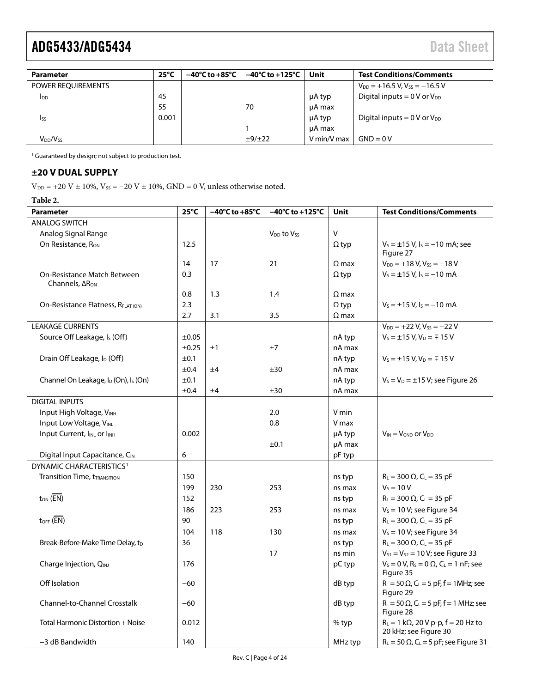| <b>Parameter</b>                 | $25^{\circ}$ C | $-40^{\circ}$ C to $+85^{\circ}$ C | $-40^{\circ}$ C to +125°C | Unit        | <b>Test Conditions/Comments</b>               |
|----------------------------------|----------------|------------------------------------|---------------------------|-------------|-----------------------------------------------|
| <b>POWER REOUIREMENTS</b>        |                |                                    |                           |             | $V_{DD}$ = +16.5 V, V <sub>ss</sub> = -16.5 V |
| <b>I</b> <sub>DD</sub>           | 45             |                                    |                           | μA typ      | Digital inputs $= 0 V$ or $V_{DD}$            |
|                                  | 55             |                                    | 70                        | µA max      |                                               |
| <b>Iss</b>                       | 0.001          |                                    |                           | μA typ      | Digital inputs $= 0$ V or $V_{DD}$            |
|                                  |                |                                    |                           | µA max      |                                               |
| V <sub>DD</sub> /V <sub>SS</sub> |                |                                    | ±9/±22                    | V min/V max | $GND = 0V$                                    |

<span id="page-3-1"></span><sup>1</sup> Guaranteed by design; not subject to production test.

### <span id="page-3-0"></span>**±20 V DUAL SUPPLY**

 $V_{DD}$  = +20 V ± 10%,  $V_{SS}$  = -20 V ± 10%, GND = 0 V, unless otherwise noted.

**Table 2.** 

| <b>Parameter</b>                                                | $25^{\circ}$ C | $-40^{\circ}$ C to $+85^{\circ}$ C | $-40^{\circ}$ C to +125 $^{\circ}$ C | <b>Unit</b>  | <b>Test Conditions/Comments</b>                                                     |
|-----------------------------------------------------------------|----------------|------------------------------------|--------------------------------------|--------------|-------------------------------------------------------------------------------------|
| <b>ANALOG SWITCH</b>                                            |                |                                    |                                      |              |                                                                                     |
| Analog Signal Range                                             |                |                                    | $V_{DD}$ to $V_{SS}$                 | $\mathsf{V}$ |                                                                                     |
| On Resistance, R <sub>ON</sub>                                  | 12.5           |                                    |                                      | $\Omega$ typ | $V_s = \pm 15$ V, $I_s = -10$ mA; see<br>Figure 27                                  |
|                                                                 | 14             | 17                                 | 21                                   | $\Omega$ max | $V_{DD} = +18 V, V_{SS} = -18 V$                                                    |
| <b>On-Resistance Match Between</b><br>Channels, $\Delta R_{ON}$ | 0.3            |                                    |                                      | $\Omega$ typ | $V_s = \pm 15$ V, $I_s = -10$ mA                                                    |
|                                                                 | 0.8            | 1.3                                | 1.4                                  | $\Omega$ max |                                                                                     |
| On-Resistance Flatness, RFLAT (ON)                              | 2.3            |                                    |                                      | $\Omega$ typ | $V_s = \pm 15$ V, $I_s = -10$ mA                                                    |
|                                                                 | 2.7            | 3.1                                | 3.5                                  | $\Omega$ max |                                                                                     |
| <b>LEAKAGE CURRENTS</b>                                         |                |                                    |                                      |              | $V_{DD}$ = +22 V, Vss = -22 V                                                       |
| Source Off Leakage, Is (Off)                                    | ±0.05          |                                    |                                      | nA typ       | $V_s = \pm 15$ V, $V_D = \mp 15$ V                                                  |
|                                                                 | $\pm 0.25$     | ±1                                 | ±7                                   | nA max       |                                                                                     |
| Drain Off Leakage, I <sub>D</sub> (Off)                         | ±0.1           |                                    |                                      | nA typ       | $V_s = \pm 15$ V, $V_D = \mp 15$ V                                                  |
|                                                                 | ±0.4           | ±4                                 | ±30                                  | nA max       |                                                                                     |
| Channel On Leakage, I <sub>D</sub> (On), I <sub>S</sub> (On)    | ±0.1           |                                    |                                      | nA typ       | $V_s = V_D = \pm 15 V$ ; see Figure 26                                              |
|                                                                 | ±0.4           | ±4                                 | ±30                                  | nA max       |                                                                                     |
| <b>DIGITAL INPUTS</b>                                           |                |                                    |                                      |              |                                                                                     |
| Input High Voltage, VINH                                        |                |                                    | 2.0                                  | V min        |                                                                                     |
| Input Low Voltage, VINL                                         |                |                                    | 0.8                                  | V max        |                                                                                     |
| Input Current, I <sub>INL</sub> or I <sub>INH</sub>             | 0.002          |                                    |                                      | µA typ       | $V_{IN} = V_{GND}$ or $V_{DD}$                                                      |
|                                                                 |                |                                    | ±0.1                                 | µA max       |                                                                                     |
| Digital Input Capacitance, CIN                                  | 6              |                                    |                                      | pF typ       |                                                                                     |
| <b>DYNAMIC CHARACTERISTICS1</b>                                 |                |                                    |                                      |              |                                                                                     |
| <b>Transition Time, tTRANSITION</b>                             | 150            |                                    |                                      | ns typ       | $R_L = 300 \Omega$ , $C_L = 35 pF$                                                  |
|                                                                 | 199            | 230                                | 253                                  | ns max       | $V_s = 10 V$                                                                        |
| $t_{ON}$ ( $\overline{EN}$ )                                    | 152            |                                    |                                      | ns typ       | $R_{L} = 300 \Omega$ , C <sub>L</sub> = 35 pF                                       |
|                                                                 | 186            | 223                                | 253                                  | ns max       | $V_s = 10 V$ ; see Figure 34                                                        |
| $t_{OFF}$ ( $\overline{EN}$ )                                   | 90             |                                    |                                      | ns typ       | $R_{L} = 300 \Omega$ , C <sub>L</sub> = 35 pF                                       |
|                                                                 | 104            | 118                                | 130                                  | ns max       | $V_s = 10 V$ ; see Figure 34                                                        |
| Break-Before-Make Time Delay, tD                                | 36             |                                    |                                      | ns typ       | $R_L = 300 \Omega$ , $C_L = 35 pF$                                                  |
|                                                                 |                |                                    | 17                                   | ns min       | $V_{S1} = V_{S2} = 10 V$ ; see Figure 33                                            |
| Charge Injection, QINJ                                          | 176            |                                    |                                      | pC typ       | $V_s = 0 V$ , R <sub>s</sub> = 0 $\Omega$ , C <sub>L</sub> = 1 nF; see<br>Figure 35 |
| Off Isolation                                                   | $-60$          |                                    |                                      | dB typ       | $R_L = 50 \Omega$ , C <sub>L</sub> = 5 pF, f = 1MHz; see<br>Figure 29               |
| <b>Channel-to-Channel Crosstalk</b>                             | $-60$          |                                    |                                      | dB typ       | $R_L = 50 \Omega$ , C <sub>L</sub> = 5 pF, f = 1 MHz; see<br>Figure 28              |
| Total Harmonic Distortion + Noise                               | 0.012          |                                    |                                      | $%$ typ      | $R_L = 1 k\Omega$ , 20 V p-p, f = 20 Hz to<br>20 kHz; see Figure 30                 |
| -3 dB Bandwidth                                                 | 140            |                                    |                                      | MHz typ      | $R_L$ = 50 $\Omega$ , C <sub>L</sub> = 5 pF; see Figure 31                          |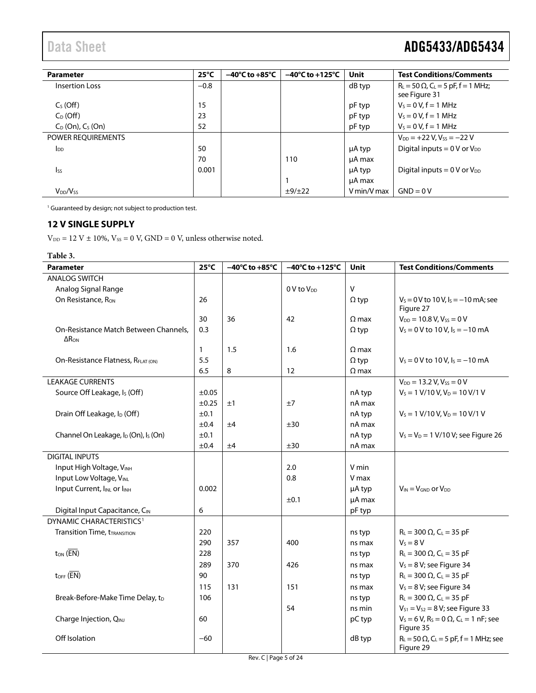| <b>Parameter</b>          | $25^{\circ}$ C | $-40^{\circ}$ C to $+85^{\circ}$ C | $-40^{\circ}$ C to $+125^{\circ}$ C | <b>Unit</b> | <b>Test Conditions/Comments</b>                                |
|---------------------------|----------------|------------------------------------|-------------------------------------|-------------|----------------------------------------------------------------|
| <b>Insertion Loss</b>     | $-0.8$         |                                    |                                     | dB typ      | $R_L = 50 \Omega$ , $C_L = 5 pF$ , f = 1 MHz;<br>see Figure 31 |
| $CS$ (Off)                | 15             |                                    |                                     | pF typ      | $V_s = 0 V, f = 1 MHz$                                         |
| $C_D$ (Off)               | 23             |                                    |                                     | pF typ      | $V_s = 0 V, f = 1 MHz$                                         |
| $C_D$ (On), $C_S$ (On)    | 52             |                                    |                                     | pF typ      | $V_s = 0 V$ , $f = 1$ MHz                                      |
| <b>POWER REOUIREMENTS</b> |                |                                    |                                     |             | $V_{DD} = +22 V$ , $V_{SS} = -22 V$                            |
| $I_{DD}$                  | 50             |                                    |                                     | µA typ      | Digital inputs = $0 \text{ V}$ or $V_{DD}$                     |
|                           | 70             |                                    | 110                                 | µA max      |                                                                |
| $I_{SS}$                  | 0.001          |                                    |                                     | μA typ      | Digital inputs = $0 \text{ V or } V_{DD}$                      |
|                           |                |                                    |                                     | µA max      |                                                                |
| $V_{DD}/V_{SS}$           |                |                                    | ±9/±22                              | V min/V max | $GND = 0V$                                                     |

<span id="page-4-1"></span><span id="page-4-0"></span><sup>1</sup> Guaranteed by design; not subject to production test.

#### **12 V SINGLE SUPPLY**

 $\mathrm{V_{DD}}$  = 12 V  $\pm$  10%,  $\mathrm{V_{SS}}$  = 0 V, GND = 0 V, unless otherwise noted.

#### **Table 3.**

| <b>Parameter</b>                                             | $25^{\circ}$ C | $-40^{\circ}$ C to $+85^{\circ}$ C | $-40^{\circ}$ C to +125 $^{\circ}$ C | <b>Unit</b>  | <b>Test Conditions/Comments</b>                                        |
|--------------------------------------------------------------|----------------|------------------------------------|--------------------------------------|--------------|------------------------------------------------------------------------|
| <b>ANALOG SWITCH</b>                                         |                |                                    |                                      |              |                                                                        |
| Analog Signal Range                                          |                |                                    | 0 V to V <sub>pp</sub>               | $\vee$       |                                                                        |
| On Resistance, Ron                                           | 26             |                                    |                                      | $\Omega$ typ | $V_s = 0$ V to 10 V, $I_s = -10$ mA; see<br>Figure 27                  |
|                                                              | 30             | 36                                 | 42                                   | $\Omega$ max | $V_{DD} = 10.8 V, V_{SS} = 0 V$                                        |
| On-Resistance Match Between Channels.<br>$\Delta$ RON        | 0.3            |                                    |                                      | $\Omega$ typ | $V_s = 0$ V to 10 V, $I_s = -10$ mA                                    |
|                                                              | $\mathbf{1}$   | 1.5                                | 1.6                                  | $\Omega$ max |                                                                        |
| On-Resistance Flatness, RFLAT (ON)                           | 5.5            |                                    |                                      | $\Omega$ typ | $V_s = 0$ V to 10 V, $I_s = -10$ mA                                    |
|                                                              | 6.5            | 8                                  | 12                                   | $\Omega$ max |                                                                        |
| <b>LEAKAGE CURRENTS</b>                                      |                |                                    |                                      |              | $V_{DD} = 13.2 V, V_{SS} = 0 V$                                        |
| Source Off Leakage, I <sub>s</sub> (Off)                     | ±0.05          |                                    |                                      | nA typ       | $V_s = 1 V/10 V, V_D = 10 V/1 V$                                       |
|                                                              | ±0.25          | ±1                                 | ±7                                   | nA max       |                                                                        |
| Drain Off Leakage, I <sub>D</sub> (Off)                      | ±0.1           |                                    |                                      | nA typ       | $V_s = 1$ V/10 V, V <sub>D</sub> = 10 V/1 V                            |
|                                                              | ±0.4           | ±4                                 | ±30                                  | nA max       |                                                                        |
| Channel On Leakage, I <sub>D</sub> (On), I <sub>S</sub> (On) | ±0.1           |                                    |                                      | nA typ       | $V_s = V_D = 1$ V/10 V; see Figure 26                                  |
|                                                              | ±0.4           | ±4                                 | ±30                                  | nA max       |                                                                        |
| <b>DIGITAL INPUTS</b>                                        |                |                                    |                                      |              |                                                                        |
| Input High Voltage, VINH                                     |                |                                    | 2.0                                  | V min        |                                                                        |
| Input Low Voltage, VINL                                      |                |                                    | 0.8                                  | V max        |                                                                        |
| Input Current, IINL or IINH                                  | 0.002          |                                    |                                      | µA typ       | $V_{IN} = V_{GND}$ or $V_{DD}$                                         |
|                                                              |                |                                    | ±0.1                                 | µA max       |                                                                        |
| Digital Input Capacitance, CIN                               | 6              |                                    |                                      | pF typ       |                                                                        |
| DYNAMIC CHARACTERISTICS <sup>1</sup>                         |                |                                    |                                      |              |                                                                        |
| <b>Transition Time, tTRANSITION</b>                          | 220            |                                    |                                      | ns typ       | $R_L = 300 \Omega$ , C <sub>L</sub> = 35 pF                            |
|                                                              | 290            | 357                                | 400                                  | ns max       | $V_s = 8 V$                                                            |
| $t_{ON}$ ( $\overline{EN}$ )                                 | 228            |                                    |                                      | ns typ       | $R_L = 300 \Omega$ , $C_L = 35 pF$                                     |
|                                                              | 289            | 370                                | 426                                  | ns max       | $V_s = 8 V$ ; see Figure 34                                            |
| $t_{\text{OFF}}$ ( $\overline{\text{EN}}$ )                  | 90             |                                    |                                      | ns typ       | $R_{L} = 300 \Omega$ , C <sub>L</sub> = 35 pF                          |
|                                                              | 115            | 131                                | 151                                  | ns max       | $V_s = 8 V$ ; see Figure 34                                            |
| Break-Before-Make Time Delay, t <sub>D</sub>                 | 106            |                                    |                                      | ns typ       | $R_L = 300 \Omega$ , $C_L = 35 pF$                                     |
|                                                              |                |                                    | 54                                   | ns min       | $V_{S1} = V_{S2} = 8 V$ ; see Figure 33                                |
| Charge Injection, QINJ                                       | 60             |                                    |                                      | pC typ       | $V_s = 6 V$ , $R_s = 0 \Omega$ , $C_l = 1 nF$ ; see                    |
|                                                              |                |                                    |                                      |              | Figure 35                                                              |
| Off Isolation                                                | $-60$          |                                    |                                      | dB typ       | $R_L = 50 \Omega$ , C <sub>L</sub> = 5 pF, f = 1 MHz; see<br>Figure 29 |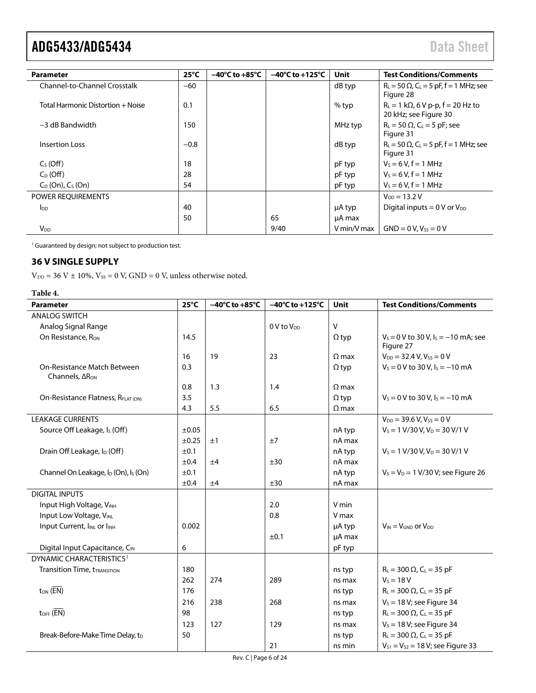| Parameter                         | $25^{\circ}$ C | $-40^{\circ}$ C to $+85^{\circ}$ C | $-40^{\circ}$ C to +125 $^{\circ}$ C | Unit        | <b>Test Conditions/Comments</b>                                        |
|-----------------------------------|----------------|------------------------------------|--------------------------------------|-------------|------------------------------------------------------------------------|
| Channel-to-Channel Crosstalk      | $-60$          |                                    |                                      | dB typ      | $R_L = 50 \Omega$ , C <sub>L</sub> = 5 pF, f = 1 MHz; see<br>Figure 28 |
| Total Harmonic Distortion + Noise | 0.1            |                                    |                                      | % typ       | $R_L = 1 k\Omega$ , 6 V p-p, f = 20 Hz to<br>20 kHz; see Figure 30     |
| $-3$ dB Bandwidth                 | 150            |                                    |                                      | MHz typ     | $R_L = 50 \Omega$ , $C_L = 5 pF$ ; see<br>Figure 31                    |
| <b>Insertion Loss</b>             | $-0.8$         |                                    |                                      | dB typ      | $R_L = 50 \Omega$ , C <sub>L</sub> = 5 pF, f = 1 MHz; see<br>Figure 31 |
| $Cs$ (Off)                        | 18             |                                    |                                      | pF typ      | $V_s = 6 V, f = 1 MHz$                                                 |
| $C_D$ (Off)                       | 28             |                                    |                                      | pF typ      | $V_5 = 6 V$ , f = 1 MHz                                                |
| $C_D$ (On), $C_S$ (On)            | 54             |                                    |                                      | pF typ      | $V_s = 6 V, f = 1 MHz$                                                 |
| POWER REQUIREMENTS                |                |                                    |                                      |             | $V_{DD} = 13.2 V$                                                      |
| I <sub>DD</sub>                   | 40             |                                    |                                      | µA typ      | Digital inputs = $0 \text{ V}$ or $V_{DD}$                             |
|                                   | 50             |                                    | 65                                   | µA max      |                                                                        |
| $V_{DD}$                          |                |                                    | 9/40                                 | V min/V max | $GND = 0 V, V_{SS} = 0 V$                                              |

<span id="page-5-1"></span><sup>1</sup> Guaranteed by design; not subject to production test.

## <span id="page-5-0"></span>**36 V SINGLE SUPPLY**

 $V_{DD}$  = 36 V  $\pm$  10%,  $V_{SS}$  = 0 V, GND = 0 V, unless otherwise noted.

#### **Table 4.**

| <b>Parameter</b>                                             | $25^{\circ}$ C | $-40^{\circ}$ C to +85 $^{\circ}$ C | $-40^{\circ}$ C to +125 $^{\circ}$ C | <b>Unit</b>  | <b>Test Conditions/Comments</b>                       |
|--------------------------------------------------------------|----------------|-------------------------------------|--------------------------------------|--------------|-------------------------------------------------------|
| <b>ANALOG SWITCH</b>                                         |                |                                     |                                      |              |                                                       |
| Analog Signal Range                                          |                |                                     | $0V$ to $V_{DD}$                     | $\mathsf{V}$ |                                                       |
| On Resistance, Ron                                           | 14.5           |                                     |                                      | $\Omega$ typ | $V_s = 0$ V to 30 V, $I_s = -10$ mA; see<br>Figure 27 |
|                                                              | 16             | 19                                  | 23                                   | $\Omega$ max | $V_{DD} = 32.4 V, V_{SS} = 0 V$                       |
| On-Resistance Match Between<br>Channels, ARON                | 0.3            |                                     |                                      | $\Omega$ typ | $V_s = 0$ V to 30 V, $I_s = -10$ mA                   |
|                                                              | 0.8            | 1.3                                 | 1.4                                  | $\Omega$ max |                                                       |
| On-Resistance Flatness, RFLAT (ON)                           | 3.5            |                                     |                                      | $\Omega$ typ | $V_s = 0$ V to 30 V, $I_s = -10$ mA                   |
|                                                              | 4.3            | 5.5                                 | 6.5                                  | $\Omega$ max |                                                       |
| <b>LEAKAGE CURRENTS</b>                                      |                |                                     |                                      |              | $V_{DD}$ = 39.6 V, $V_{SS}$ = 0 V                     |
| Source Off Leakage, I <sub>s</sub> (Off)                     | ±0.05          |                                     |                                      | nA typ       | $V_s = 1$ V/30 V, V <sub>D</sub> = 30 V/1 V           |
|                                                              | $\pm 0.25$     | ±1                                  | ±7                                   | nA max       |                                                       |
| Drain Off Leakage, I <sub>D</sub> (Off)                      | ±0.1           |                                     |                                      | nA typ       | $V_s = 1$ V/30 V, V <sub>D</sub> = 30 V/1 V           |
|                                                              | ±0.4           | ±4                                  | ±30                                  | nA max       |                                                       |
| Channel On Leakage, I <sub>D</sub> (On), I <sub>S</sub> (On) | ±0.1           |                                     |                                      | nA typ       | $V_s = V_D = 1$ V/30 V; see Figure 26                 |
|                                                              | ±0.4           | ±4                                  | ±30                                  | nA max       |                                                       |
| <b>DIGITAL INPUTS</b>                                        |                |                                     |                                      |              |                                                       |
| Input High Voltage, VINH                                     |                |                                     | 2.0                                  | V min        |                                                       |
| Input Low Voltage, VINL                                      |                |                                     | 0.8                                  | V max        |                                                       |
| Input Current, IINL or IINH                                  | 0.002          |                                     |                                      | µA typ       | $V_{IN} = V_{GND}$ or $V_{DD}$                        |
|                                                              |                |                                     | ±0.1                                 | µA max       |                                                       |
| Digital Input Capacitance, CIN                               | 6              |                                     |                                      | pF typ       |                                                       |
| DYNAMIC CHARACTERISTICS <sup>1</sup>                         |                |                                     |                                      |              |                                                       |
| <b>Transition Time, tTRANSITION</b>                          | 180            |                                     |                                      | ns typ       | $R_{L} = 300 \Omega$ , C <sub>L</sub> = 35 pF         |
|                                                              | 262            | 274                                 | 289                                  | ns max       | $V_5 = 18 V$                                          |
| $t_{ON}$ ( $\overline{EN}$ )                                 | 176            |                                     |                                      | ns typ       | $R_L = 300 \Omega$ , $C_L = 35 pF$                    |
|                                                              | 216            | 238                                 | 268                                  | ns max       | $V_s = 18 V$ ; see Figure 34                          |
| $t_{\text{OFF}}$ ( $\overline{\text{EN}}$ )                  | 98             |                                     |                                      | ns typ       | $R_L = 300 \Omega$ , $C_L = 35 pF$                    |
|                                                              | 123            | 127                                 | 129                                  | ns max       | $V_s = 18 V$ ; see Figure 34                          |
| Break-Before-Make Time Delay, t <sub>D</sub>                 | 50             |                                     |                                      | ns typ       | $R_{L} = 300 \Omega$ , C <sub>L</sub> = 35 pF         |
|                                                              |                |                                     | 21                                   | ns min       | $V_{S1} = V_{S2} = 18 V$ ; see Figure 33              |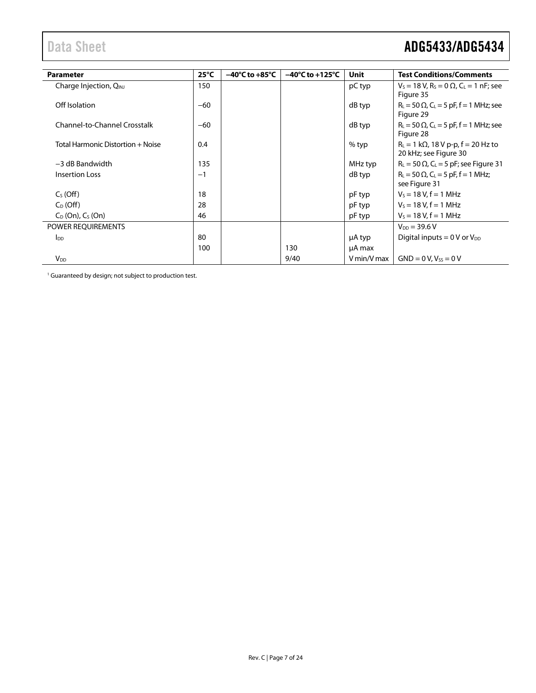| <b>Parameter</b>                   | $25^{\circ}$ C | $-40^{\circ}$ C to $+85^{\circ}$ C | $-40^{\circ}$ C to $+125^{\circ}$ C | Unit        | <b>Test Conditions/Comments</b>                                                      |
|------------------------------------|----------------|------------------------------------|-------------------------------------|-------------|--------------------------------------------------------------------------------------|
| Charge Injection, Q <sub>INJ</sub> | 150            |                                    |                                     | pC typ      | $V_s = 18 V$ , R <sub>s</sub> = 0 $\Omega$ , C <sub>L</sub> = 1 nF; see<br>Figure 35 |
| Off Isolation                      | $-60$          |                                    |                                     | dB typ      | $R_{L}$ = 50 $\Omega$ , C <sub>L</sub> = 5 pF, f = 1 MHz; see<br>Figure 29           |
| Channel-to-Channel Crosstalk       | $-60$          |                                    |                                     | dB typ      | $R_L = 50 \Omega$ , C <sub>L</sub> = 5 pF, f = 1 MHz; see<br>Figure 28               |
| Total Harmonic Distortion + Noise  | 0.4            |                                    |                                     | $%$ typ     | $R_L = 1 k\Omega$ , 18 V p-p, f = 20 Hz to<br>20 kHz; see Figure 30                  |
| $-3$ dB Bandwidth                  | 135            |                                    |                                     | MHz typ     | $R_L$ = 50 $\Omega$ , C <sub>L</sub> = 5 pF; see Figure 31                           |
| <b>Insertion Loss</b>              | $-1$           |                                    |                                     | dB typ      | $R_L = 50 \Omega$ , $C_L = 5 pF$ , f = 1 MHz;<br>see Figure 31                       |
| $CS$ (Off)                         | 18             |                                    |                                     | pF typ      | $V_s = 18 V, f = 1 MHz$                                                              |
| $C_D$ (Off)                        | 28             |                                    |                                     | pF typ      | $V_5 = 18 V, f = 1 MHz$                                                              |
| $C_D$ (On), $C_S$ (On)             | 46             |                                    |                                     | pF typ      | $V_s = 18 V, f = 1 MHz$                                                              |
| POWER REQUIREMENTS                 |                |                                    |                                     |             | $V_{DD} = 39.6 V$                                                                    |
| $I_{DD}$                           | 80             |                                    |                                     | µA typ      | Digital inputs = $0 \text{ V}$ or $V_{DD}$                                           |
|                                    | 100            |                                    | 130                                 | µA max      |                                                                                      |
| $V_{DD}$                           |                |                                    | 9/40                                | V min/V max | $GND = 0 V, V_{ss} = 0 V$                                                            |

<span id="page-6-0"></span><sup>1</sup> Guaranteed by design; not subject to production test.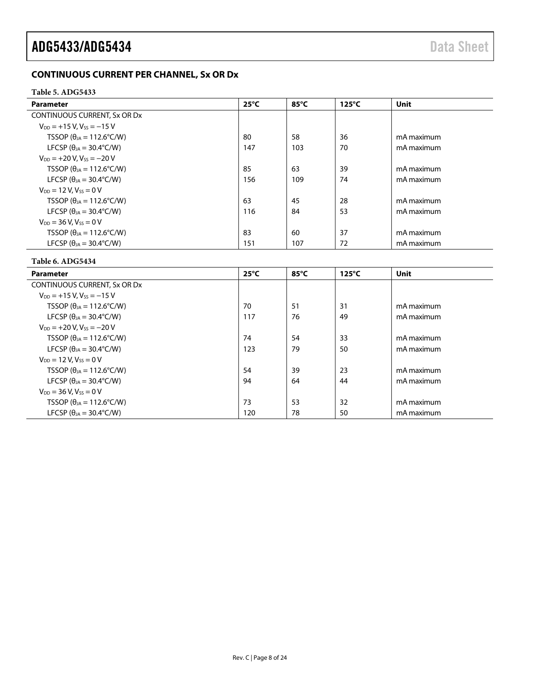# <span id="page-7-2"></span><span id="page-7-0"></span>**CONTINUOUS CURRENT PER CHANNEL, Sx OR Dx**

#### <span id="page-7-1"></span>**Table 5. ADG5433**

| <b>Parameter</b>                           | $25^{\circ}$ C<br>85°C |     | $125^{\circ}$ C | Unit       |  |
|--------------------------------------------|------------------------|-----|-----------------|------------|--|
| CONTINUOUS CURRENT, Sx OR Dx               |                        |     |                 |            |  |
| $V_{DD} = +15 V$ . $V_{ss} = -15 V$        |                        |     |                 |            |  |
| TSSOP ( $\theta_{1A} = 112.6^{\circ}$ C/W) | 80                     | 58  | 36              | mA maximum |  |
| LFCSP ( $\theta_{IA}$ = 30.4°C/W)          | 147                    | 103 | 70              | mA maximum |  |
| $V_{DD} = +20 V$ , $V_{ss} = -20 V$        |                        |     |                 |            |  |
| TSSOP ( $\theta_{JA}$ = 112.6°C/W)         | 85                     | 63  | 39              | mA maximum |  |
| LFCSP ( $\theta_{1A}$ = 30.4°C/W)          | 156                    | 109 | 74              | mA maximum |  |
| $V_{DD} = 12 V$ , $V_{SS} = 0 V$           |                        |     |                 |            |  |
| TSSOP ( $\theta_{14}$ = 112.6°C/W)         | 63                     | 45  | 28              | mA maximum |  |
| LFCSP ( $\theta_{IA}$ = 30.4°C/W)          | 116                    | 84  | 53              | mA maximum |  |
| $V_{DD} = 36 V$ , $V_{SS} = 0 V$           |                        |     |                 |            |  |
| TSSOP ( $\theta_{JA}$ = 112.6°C/W)         | 83                     | 60  | 37              | mA maximum |  |
| LFCSP ( $\theta_{IA}$ = 30.4°C/W)          | 151                    | 107 | 72              | mA maximum |  |

#### **Table 6. ADG5434**

| <b>Parameter</b>                           | $25^{\circ}$ C | 85°C | $125^{\circ}$ C | <b>Unit</b> |
|--------------------------------------------|----------------|------|-----------------|-------------|
| CONTINUOUS CURRENT, Sx OR Dx               |                |      |                 |             |
| $V_{DD} = +15 V$ . $V_{ss} = -15 V$        |                |      |                 |             |
| TSSOP ( $\theta_{IA}$ = 112.6°C/W)         | 70             | 51   | 31              | mA maximum  |
| LFCSP ( $\theta_{IA}$ = 30.4°C/W)          | 117            | 76   | 49              | mA maximum  |
| $V_{DD} = +20 V$ , $V_{SS} = -20 V$        |                |      |                 |             |
| TSSOP ( $\theta_{IA}$ = 112.6°C/W)         | 74             | 54   | 33              | mA maximum  |
| LFCSP ( $\theta_{IA}$ = 30.4°C/W)          | 123            | 79   | 50              | mA maximum  |
| $V_{DD} = 12 V$ , $V_{SS} = 0 V$           |                |      |                 |             |
| TSSOP ( $\theta_{1A} = 112.6^{\circ}$ C/W) | 54             | 39   | 23              | mA maximum  |
| LFCSP ( $\theta_{IA}$ = 30.4°C/W)          | 94             | 64   | 44              | mA maximum  |
| $V_{DD} = 36 V$ , $V_{ss} = 0 V$           |                |      |                 |             |
| TSSOP ( $\theta_{JA}$ = 112.6°C/W)         | 73             | 53   | 32              | mA maximum  |
| LFCSP ( $\theta_{1A}$ = 30.4°C/W)          | 120            | 78   | 50              | mA maximum  |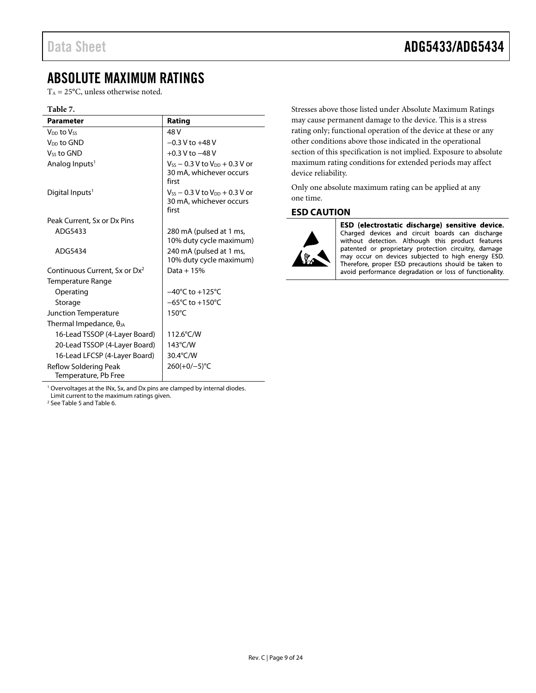# <span id="page-8-0"></span>ABSOLUTE MAXIMUM RATINGS

 $T_A = 25$ °C, unless otherwise noted.

#### **Table 7.**

| <b>Parameter</b>                              | Rating                                                                      |
|-----------------------------------------------|-----------------------------------------------------------------------------|
| V <sub>DD</sub> to Vss                        | 48 V                                                                        |
| V <sub>DD</sub> to GND                        | $-0.3$ V to $+48$ V                                                         |
| Vss to GND                                    | $+0.3$ V to $-48$ V                                                         |
| Analog Inputs <sup>1</sup>                    | $V_{SS}$ – 0.3 V to $V_{DD}$ + 0.3 V or<br>30 mA, whichever occurs<br>first |
| Digital Inputs <sup>1</sup>                   | $V_{SS}$ – 0.3 V to $V_{DD}$ + 0.3 V or<br>30 mA, whichever occurs<br>first |
| Peak Current, Sx or Dx Pins                   |                                                                             |
| ADG5433                                       | 280 mA (pulsed at 1 ms,<br>10% duty cycle maximum)                          |
| ADG5434                                       | 240 mA (pulsed at 1 ms,<br>10% duty cycle maximum)                          |
| Continuous Current, Sx or Dx <sup>2</sup>     | Data + $15%$                                                                |
| Temperature Range                             |                                                                             |
| Operating                                     | $-40^{\circ}$ C to $+125^{\circ}$ C                                         |
| Storage                                       | $-65^{\circ}$ C to +150 $^{\circ}$ C                                        |
| Junction Temperature                          | $150^{\circ}$ C                                                             |
| Thermal Impedance, $\theta_{JA}$              |                                                                             |
| 16-Lead TSSOP (4-Layer Board)                 | 112.6°C/W                                                                   |
| 20-Lead TSSOP (4-Layer Board)                 | 143°C/W                                                                     |
| 16-Lead LFCSP (4-Layer Board)                 | 30.4°C/W                                                                    |
| Reflow Soldering Peak<br>Temperature, Pb Free | $260(+0/-5)$ °C                                                             |

Stresses above those listed under Absolute Maximum Ratings may cause permanent damage to the device. This is a stress rating only; functional operation of the device at these or any other conditions above those indicated in the operational section of this specification is not implied. Exposure to absolute maximum rating conditions for extended periods may affect device reliability.

Only one absolute maximum rating can be applied at any one time.

#### <span id="page-8-1"></span>**ESD CAUTION**



ESD (electrostatic discharge) sensitive device. Charged devices and circuit boards can discharge without detection. Although this product features patented or proprietary protection circuitry, damage may occur on devices subjected to high energy ESD. Therefore, proper ESD precautions should be taken to avoid performance degradation or loss of functionality.

<sup>1</sup> Overvoltages at the INx, Sx, and Dx pins are clamped by internal diodes. Limit current to the maximum ratings given.

2 Se[e Table 5 a](#page-7-1)nd [Table 6.](#page-7-2)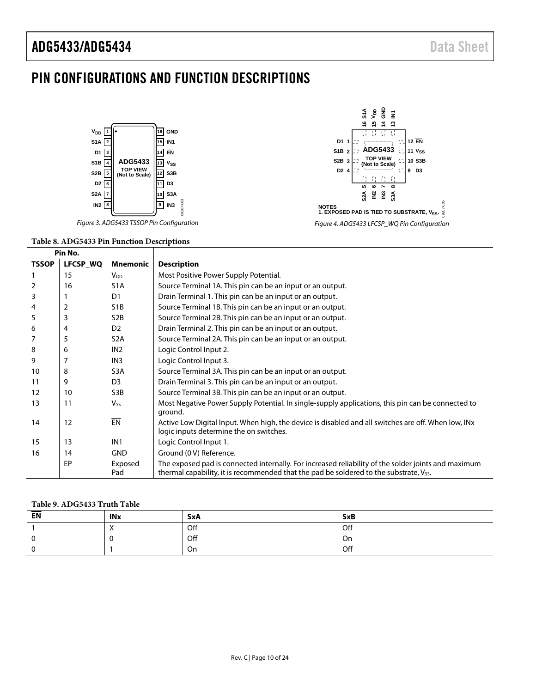# <span id="page-9-0"></span>PIN CONFIGURATIONS AND FUNCTION DESCRIPTIONS





#### **Table 8. ADG5433 Pin Function Descriptions**

| Pin No.      |          |                        |                                                                                                                                                                                              |
|--------------|----------|------------------------|----------------------------------------------------------------------------------------------------------------------------------------------------------------------------------------------|
| <b>TSSOP</b> | LFCSP_WQ | <b>Mnemonic</b>        | <b>Description</b>                                                                                                                                                                           |
|              | 15       | <b>V</b> <sub>DD</sub> | Most Positive Power Supply Potential.                                                                                                                                                        |
| 2            | 16       | S <sub>1</sub> A       | Source Terminal 1A. This pin can be an input or an output.                                                                                                                                   |
| 3            |          | D1                     | Drain Terminal 1. This pin can be an input or an output.                                                                                                                                     |
| 4            | 2        | S <sub>1</sub> B       | Source Terminal 1B. This pin can be an input or an output.                                                                                                                                   |
| 5            | 3        | S <sub>2</sub> B       | Source Terminal 2B. This pin can be an input or an output.                                                                                                                                   |
| 6            | 4        | D <sub>2</sub>         | Drain Terminal 2. This pin can be an input or an output.                                                                                                                                     |
|              | 5        | S <sub>2</sub> A       | Source Terminal 2A. This pin can be an input or an output.                                                                                                                                   |
| 8            | 6        | IN <sub>2</sub>        | Logic Control Input 2.                                                                                                                                                                       |
| 9            | 7        | IN <sub>3</sub>        | Logic Control Input 3.                                                                                                                                                                       |
| 10           | 8        | S <sub>3</sub> A       | Source Terminal 3A. This pin can be an input or an output.                                                                                                                                   |
| 11           | 9        | D <sub>3</sub>         | Drain Terminal 3. This pin can be an input or an output.                                                                                                                                     |
| 12           | 10       | S <sub>3</sub> B       | Source Terminal 3B. This pin can be an input or an output.                                                                                                                                   |
| 13           | 11       | $V_{SS}$               | Most Negative Power Supply Potential. In single-supply applications, this pin can be connected to<br>ground.                                                                                 |
| 14           | 12       | EN                     | Active Low Digital Input. When high, the device is disabled and all switches are off. When low, INx<br>logic inputs determine the on switches.                                               |
| 15           | 13       | IN <sub>1</sub>        | Logic Control Input 1.                                                                                                                                                                       |
| 16           | 14       | <b>GND</b>             | Ground (0 V) Reference.                                                                                                                                                                      |
|              | EP       | Exposed<br>Pad         | The exposed pad is connected internally. For increased reliability of the solder joints and maximum<br>thermal capability, it is recommended that the pad be soldered to the substrate, Vss. |

#### **Table 9. ADG5433 Truth Table**

| EN | <b>INx</b>           | <b>SxA</b> | <b>SxB</b> |
|----|----------------------|------------|------------|
|    | $\cdot$<br>$\lambda$ | Off        | Off        |
|    |                      | Off        | On         |
|    |                      | On         | Off        |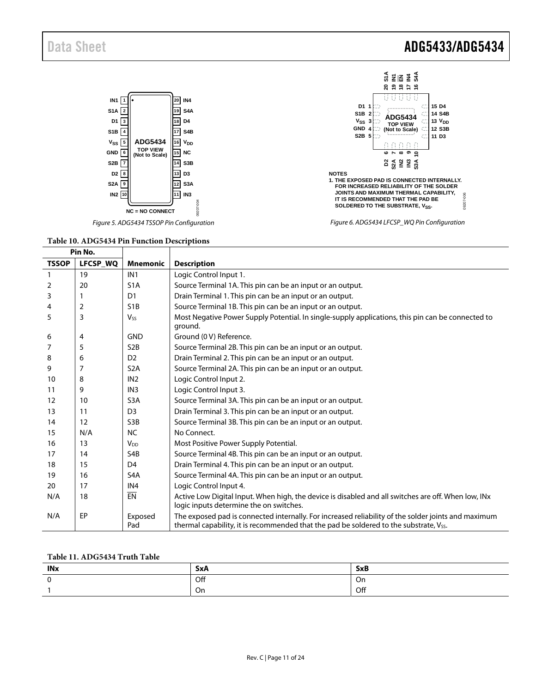

Figure 5. ADG5434 TSSOP Pin Configuration Figure 6. ADG5434 LFCSP\_WQ Pin Configuration

#### **Table 10. ADG5434 Pin Function Descriptions**   $\blacksquare$



| Pin No.      |          |                       |                                                                                                                                                                                                           |
|--------------|----------|-----------------------|-----------------------------------------------------------------------------------------------------------------------------------------------------------------------------------------------------------|
| <b>TSSOP</b> | LFCSP_WQ | <b>Mnemonic</b>       | <b>Description</b>                                                                                                                                                                                        |
|              | 19       | IN <sub>1</sub>       | Logic Control Input 1.                                                                                                                                                                                    |
| 2            | 20       | S <sub>1</sub> A      | Source Terminal 1A. This pin can be an input or an output.                                                                                                                                                |
| 3            |          | D <sub>1</sub>        | Drain Terminal 1. This pin can be an input or an output.                                                                                                                                                  |
| 4            | 2        | S <sub>1</sub> B      | Source Terminal 1B. This pin can be an input or an output.                                                                                                                                                |
| 5            | 3        | <b>V<sub>ss</sub></b> | Most Negative Power Supply Potential. In single-supply applications, this pin can be connected to<br>ground.                                                                                              |
| 6            | 4        | <b>GND</b>            | Ground (0 V) Reference.                                                                                                                                                                                   |
| 7            | 5        | S <sub>2</sub> B      | Source Terminal 2B. This pin can be an input or an output.                                                                                                                                                |
| 8            | 6        | D <sub>2</sub>        | Drain Terminal 2. This pin can be an input or an output.                                                                                                                                                  |
| 9            | 7        | S <sub>2</sub> A      | Source Terminal 2A. This pin can be an input or an output.                                                                                                                                                |
| 10           | 8        | IN <sub>2</sub>       | Logic Control Input 2.                                                                                                                                                                                    |
| 11           | 9        | IN <sub>3</sub>       | Logic Control Input 3.                                                                                                                                                                                    |
| 12           | 10       | S <sub>3</sub> A      | Source Terminal 3A. This pin can be an input or an output.                                                                                                                                                |
| 13           | 11       | D <sub>3</sub>        | Drain Terminal 3. This pin can be an input or an output.                                                                                                                                                  |
| 14           | 12       | S <sub>3</sub> B      | Source Terminal 3B. This pin can be an input or an output.                                                                                                                                                |
| 15           | N/A      | <b>NC</b>             | No Connect.                                                                                                                                                                                               |
| 16           | 13       | <b>V<sub>DD</sub></b> | Most Positive Power Supply Potential.                                                                                                                                                                     |
| 17           | 14       | S <sub>4</sub> B      | Source Terminal 4B. This pin can be an input or an output.                                                                                                                                                |
| 18           | 15       | D <sub>4</sub>        | Drain Terminal 4. This pin can be an input or an output.                                                                                                                                                  |
| 19           | 16       | S <sub>4</sub> A      | Source Terminal 4A. This pin can be an input or an output.                                                                                                                                                |
| 20           | 17       | IN <sub>4</sub>       | Logic Control Input 4.                                                                                                                                                                                    |
| N/A          | 18       | EN                    | Active Low Digital Input. When high, the device is disabled and all switches are off. When low, INx<br>logic inputs determine the on switches.                                                            |
| N/A          | EP       | Exposed<br>Pad        | The exposed pad is connected internally. For increased reliability of the solder joints and maximum<br>thermal capability, it is recommended that the pad be soldered to the substrate, V <sub>SS</sub> . |

#### **Table 11. ADG5434 Truth Table**

| <b>INx</b> | SxA | <b>SxB</b> |
|------------|-----|------------|
|            | Off | On         |
|            | On  | Off        |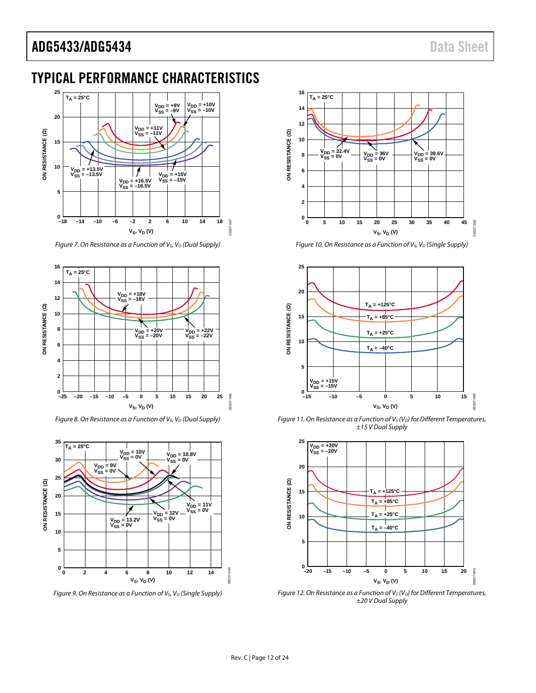# <span id="page-11-0"></span>TYPICAL PERFORMANCE CHARACTERISTICS



*Figure 7. On Resistance as a Function of V<sub>S</sub>, V<sub>D</sub> (Dual Supply)* 



*Figure 8. On Resistance as a Function of V<sub>S</sub>, V<sub>D</sub> (Dual Supply)* 



*Figure 9. On Resistance as a Function of V<sub>S</sub>, V<sub>D</sub> (Single Supply)* 



*Figure 10. On Resistance as a Function of V<sub>S</sub>, V<sub>D</sub> (Single Supply)* 



*Figure 11. On Resistance as a Function of V<sub>S</sub> (V<sub>D</sub>) for Different Temperatures, ±15 V Dual Supply*



*Figure 12. On Resistance as a Function of V<sub>S</sub> (V<sub>D</sub>) for Different Temperatures, ±20 V Dual Supply*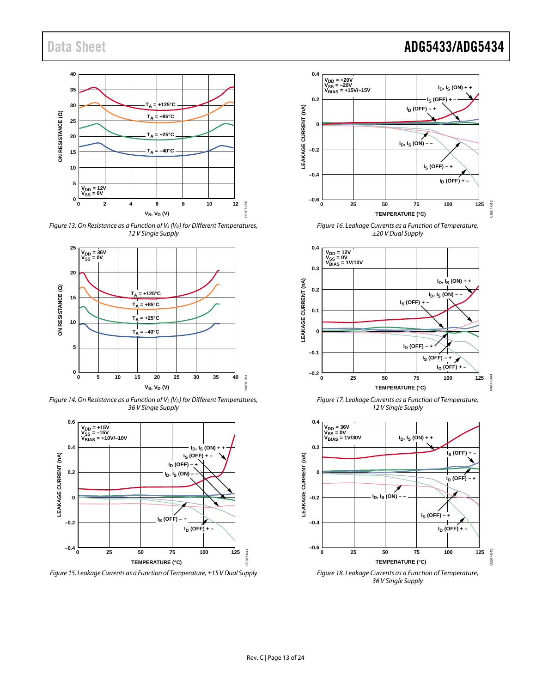

*Figure 13. On Resistance as a Function of V<sub>S</sub> (V<sub>D</sub>) for Different Temperatures, 12 V Single Supply*



*Figure 14. On Resistance as a Function of V<sub>S</sub> (V<sub>D</sub>) for Different Temperatures, 36 V Single Supply*



*Figure 15. Leakage Currents as a Function of Temperature, ±15 V Dual Supply*



*Figure 16. Leakage Currents as a Function of Temperature, ±20 V Dual Supply*



*Figure 17. Leakage Currents as a Function of Temperature, 12 V Single Supply*

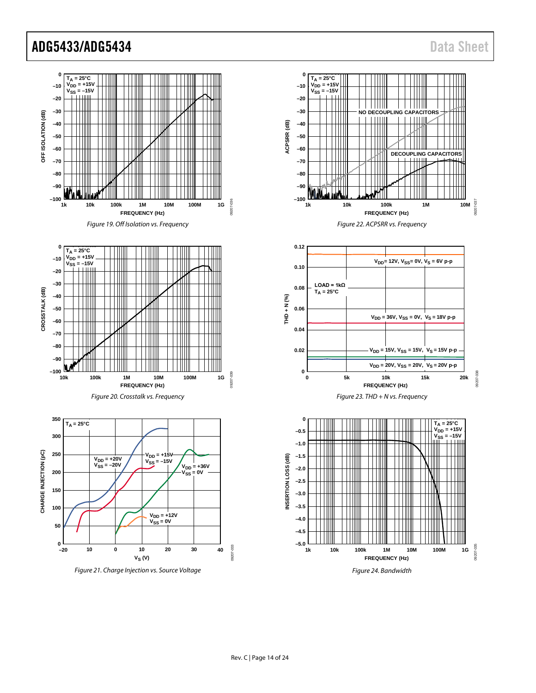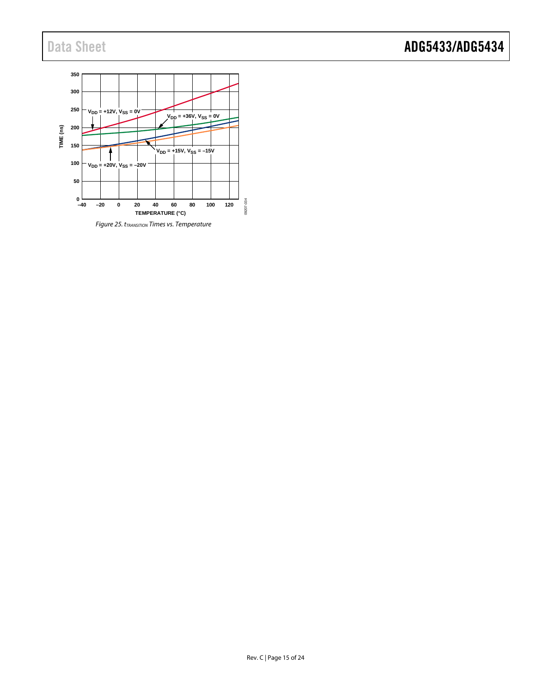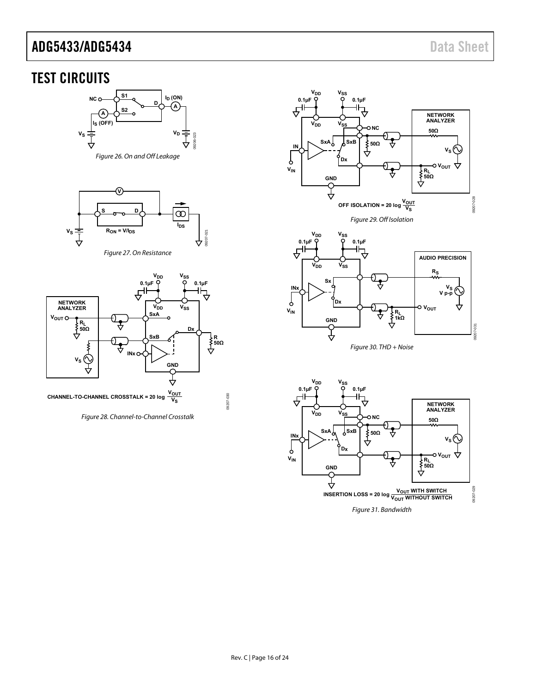# <span id="page-15-0"></span>TEST CIRCUITS



<span id="page-15-2"></span>



<span id="page-15-1"></span>

<span id="page-15-4"></span>Figure 28. Channel-to-Channel Crosstalk



<span id="page-15-3"></span>

Figure 30. THD + Noise

<span id="page-15-5"></span>

<span id="page-15-6"></span>Figure 31. Bandwidth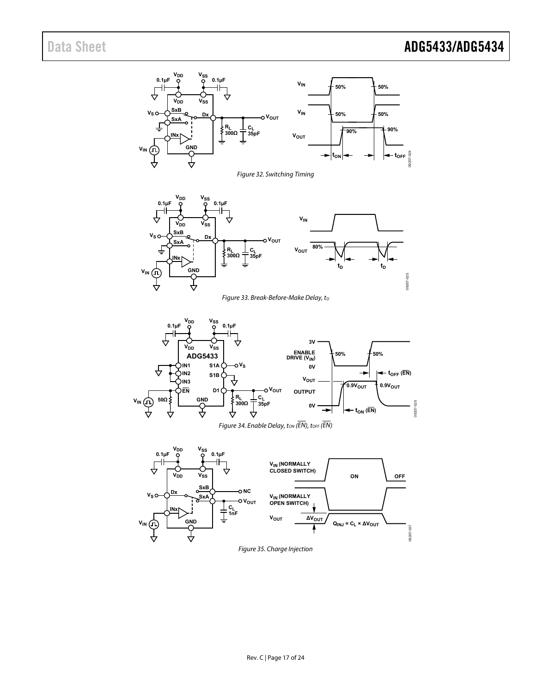<span id="page-16-2"></span><span id="page-16-1"></span><span id="page-16-0"></span>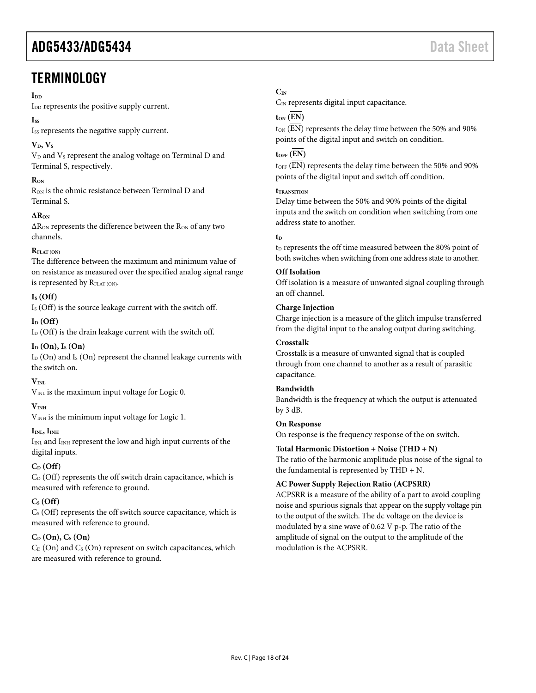# <span id="page-17-0"></span>**TERMINOLOGY**

#### $\mathbf{I}_{\mathbf{D}\mathbf{D}}$

I<sub>DD</sub> represents the positive supply current.

#### **ISS**

Iss represents the negative supply current.

# $V<sub>D</sub>, V<sub>S</sub>$

 $V_D$  and  $V_S$  represent the analog voltage on Terminal D and Terminal S, respectively.

## **RON**

R<sub>ON</sub> is the ohmic resistance between Terminal D and Terminal S.

## **∆RON**

∆R<sub>ON</sub> represents the difference between the R<sub>ON</sub> of any two channels.

### $\mathbf{R}_{\text{EIAT}}$  (ON)

The difference between the maximum and minimum value of on resistance as measured over the specified analog signal range is represented by RFLAT (ON).

# **IS (Off)**

I<sub>S</sub> (Off) is the source leakage current with the switch off.

### $I_D$  (Off)

 $I_D$  (Off) is the drain leakage current with the switch off.

### **ID (On), IS (On)**

 $I_D$  (On) and  $I_S$  (On) represent the channel leakage currents with the switch on.

### $V_{\text{INI}}$

 $V_{INL}$  is the maximum input voltage for Logic 0.

### **VINH**

V<sub>INH</sub> is the minimum input voltage for Logic 1.

### $I<sub>INL</sub>, I<sub>INH</sub>$

 $I_{INL}$  and  $I_{INH}$  represent the low and high input currents of the digital inputs.

# **CD (Off)**

 $C_D$  (Off) represents the off switch drain capacitance, which is measured with reference to ground.

# $C_S$  (Off)

 $C<sub>S</sub>$  (Off) represents the off switch source capacitance, which is measured with reference to ground.

# **CD (On), CS (On)**

 $C_D$  (On) and  $C_S$  (On) represent on switch capacitances, which are measured with reference to ground.

# **CIN**

 $C_{IN}$  represents digital input capacitance.

# $t_{ON}$   $(\overline{EN})$

t<sub>ON</sub> (EN) represents the delay time between the 50% and 90% points of the digital input and switch on condition.

# $t<sub>OFF</sub>$   $(\overline{EN})$

t<sub>OFF</sub> (EN) represents the delay time between the 50% and 90% points of the digital input and switch off condition.

#### **tTRANSITION**

Delay time between the 50% and 90% points of the digital inputs and the switch on condition when switching from one address state to another.

### **t**<sub>D</sub>

t<sub>D</sub> represents the off time measured between the 80% point of both switches when switching from one address state to another.

### **Off Isolation**

Off isolation is a measure of unwanted signal coupling through an off channel.

### **Charge Injection**

Charge injection is a measure of the glitch impulse transferred from the digital input to the analog output during switching.

#### **Crosstalk**

Crosstalk is a measure of unwanted signal that is coupled through from one channel to another as a result of parasitic capacitance.

# **Bandwidth**

Bandwidth is the frequency at which the output is attenuated by 3 dB.

#### **On Response**

On response is the frequency response of the on switch.

### **Total Harmonic Distortion + Noise (THD + N)**

The ratio of the harmonic amplitude plus noise of the signal to the fundamental is represented by THD + N.

### **AC Power Supply Rejection Ratio (ACPSRR)**

ACPSRR is a measure of the ability of a part to avoid coupling noise and spurious signals that appear on the supply voltage pin to the output of the switch. The dc voltage on the device is modulated by a sine wave of 0.62 V p-p. The ratio of the amplitude of signal on the output to the amplitude of the modulation is the ACPSRR.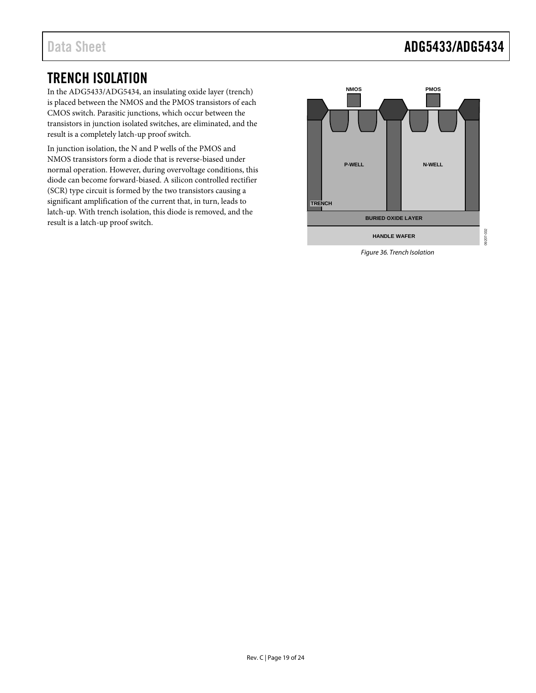# <span id="page-18-0"></span>TRENCH ISOLATION

In the ADG5433/ADG5434, an insulating oxide layer (trench) is placed between the NMOS and the PMOS transistors of each CMOS switch. Parasitic junctions, which occur between the transistors in junction isolated switches, are eliminated, and the result is a completely latch-up proof switch.

In junction isolation, the N and P wells of the PMOS and NMOS transistors form a diode that is reverse-biased under normal operation. However, during overvoltage conditions, this diode can become forward-biased. A silicon controlled rectifier (SCR) type circuit is formed by the two transistors causing a significant amplification of the current that, in turn, leads to latch-up. With trench isolation, this diode is removed, and the result is a latch-up proof switch.



*Figure 36. Trench Isolation*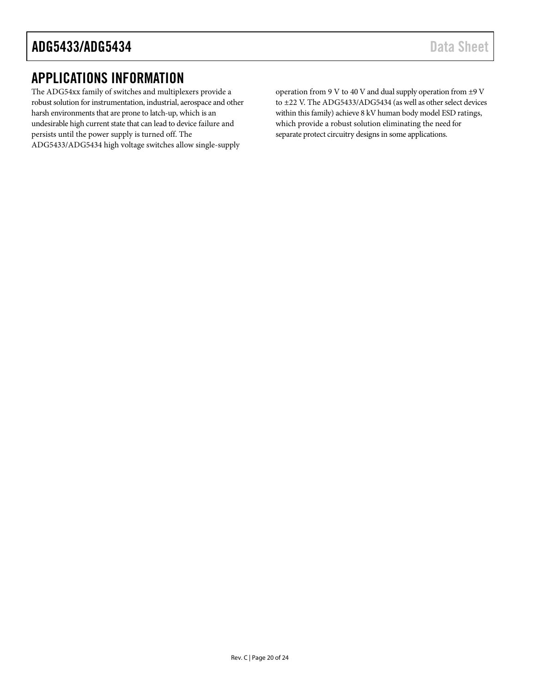# <span id="page-19-0"></span>APPLICATIONS INFORMATION

The ADG54xx family of switches and multiplexers provide a robust solution for instrumentation, industrial, aerospace and other harsh environments that are prone to latch-up, which is an undesirable high current state that can lead to device failure and persists until the power supply is turned off. The ADG5433/ADG5434 high voltage switches allow single-supply

operation from 9 V to 40 V and dual supply operation from ±9 V to ±22 V. The ADG5433/ADG5434 (as well as other select devices within this family) achieve 8 kV human body model ESD ratings, which provide a robust solution eliminating the need for separate protect circuitry designs in some applications.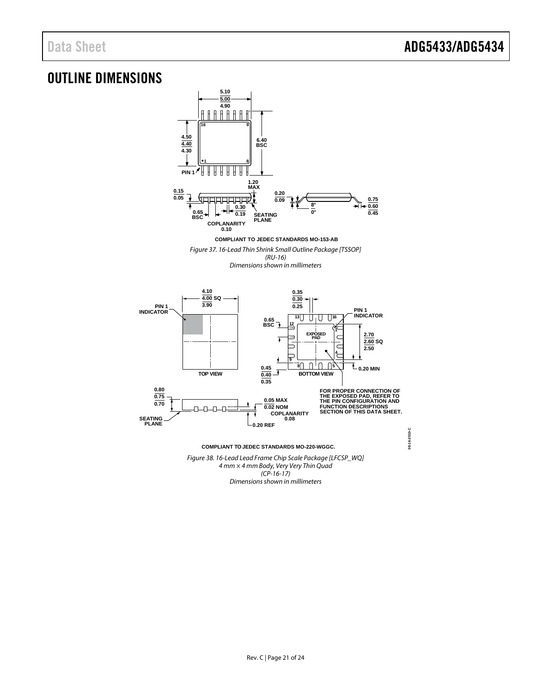# <span id="page-20-0"></span>OUTLINE DIMENSIONS



Figure 38. 16-Lead Lead Frame Chip Scale Package [LFCSP\_WQ] 4 mm × 4 mm Body, Very Very Thin Quad  $(CP-16-17)$ Dimensions shown in millimeters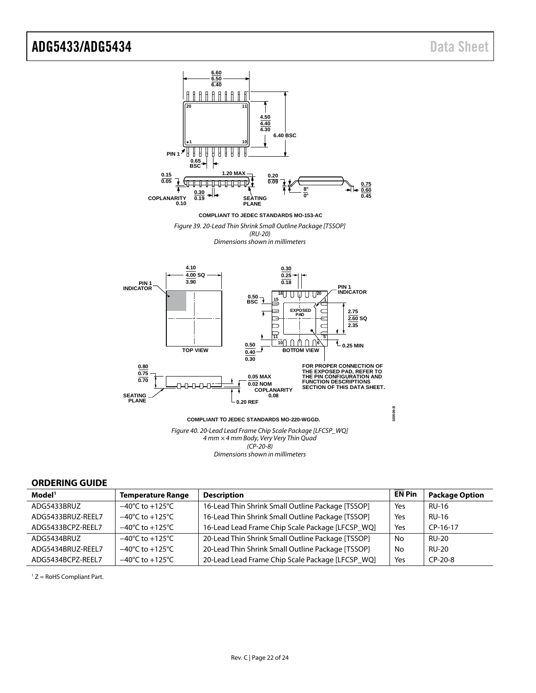

#### <span id="page-21-0"></span>**ORDERING GUIDE**

| Model <sup>1</sup> | <b>Temperature Range</b>            | <b>Description</b>                                | <b>EN Pin</b> | <b>Package Option</b> |
|--------------------|-------------------------------------|---------------------------------------------------|---------------|-----------------------|
| ADG5433BRUZ        | $-40^{\circ}$ C to $+125^{\circ}$ C | 16-Lead Thin Shrink Small Outline Package [TSSOP] | Yes           | <b>RU-16</b>          |
| ADG5433BRUZ-REEL7  | $-40^{\circ}$ C to $+125^{\circ}$ C | 16-Lead Thin Shrink Small Outline Package [TSSOP] | Yes           | <b>RU-16</b>          |
| ADG5433BCPZ-REEL7  | $-40^{\circ}$ C to $+125^{\circ}$ C | 16-Lead Lead Frame Chip Scale Package [LFCSP_WQ]  | Yes           | $CP-16-17$            |
| ADG5434BRUZ        | $-40^{\circ}$ C to $+125^{\circ}$ C | 20-Lead Thin Shrink Small Outline Package [TSSOP] | No            | <b>RU-20</b>          |
| ADG5434BRUZ-REEL7  | $-40^{\circ}$ C to $+125^{\circ}$ C | 20-Lead Thin Shrink Small Outline Package [TSSOP] | No            | <b>RU-20</b>          |
| ADG5434BCPZ-REEL7  | $-40^{\circ}$ C to $+125^{\circ}$ C | 20-Lead Lead Frame Chip Scale Package [LFCSP_WQ]  | Yes           | $CP-20-8$             |

1 Z = RoHS Compliant Part.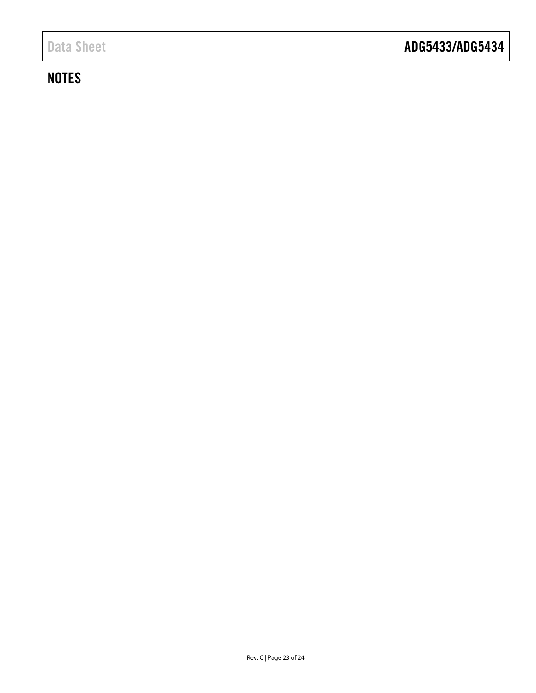# **NOTES**